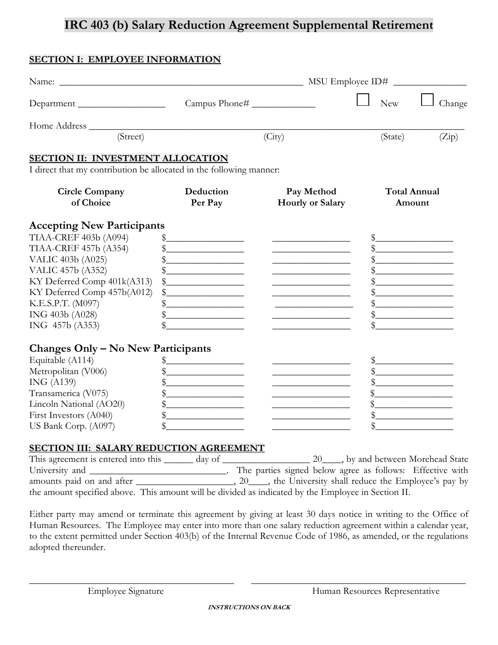# **IRC 403 (b) Salary Reduction Agreement Supplemental Retirement**

## **SECTION I: EMPLOYEE INFORMATION**

| Department                                                          | Campus Phone#                                                                                                                                                                                                                                                                                                                                                       |                                                                                                                                                                                                                                      | <b>New</b><br>Change                                                                                                 |  |  |
|---------------------------------------------------------------------|---------------------------------------------------------------------------------------------------------------------------------------------------------------------------------------------------------------------------------------------------------------------------------------------------------------------------------------------------------------------|--------------------------------------------------------------------------------------------------------------------------------------------------------------------------------------------------------------------------------------|----------------------------------------------------------------------------------------------------------------------|--|--|
|                                                                     |                                                                                                                                                                                                                                                                                                                                                                     |                                                                                                                                                                                                                                      |                                                                                                                      |  |  |
| (Street)                                                            |                                                                                                                                                                                                                                                                                                                                                                     | (City)                                                                                                                                                                                                                               | (State)<br>(Zip)                                                                                                     |  |  |
| <b>SECTION II: INVESTMENT ALLOCATION</b>                            |                                                                                                                                                                                                                                                                                                                                                                     |                                                                                                                                                                                                                                      |                                                                                                                      |  |  |
| I direct that my contribution be allocated in the following manner: |                                                                                                                                                                                                                                                                                                                                                                     |                                                                                                                                                                                                                                      |                                                                                                                      |  |  |
| <b>Circle Company</b><br>of Choice                                  | Deduction<br>Per Pay                                                                                                                                                                                                                                                                                                                                                | Pay Method<br><b>Hourly or Salary</b>                                                                                                                                                                                                | <b>Total Annual</b><br>Amount                                                                                        |  |  |
| <b>Accepting New Participants</b>                                   |                                                                                                                                                                                                                                                                                                                                                                     |                                                                                                                                                                                                                                      |                                                                                                                      |  |  |
| <b>TIAA-CREF 403b (A094)</b>                                        | $\begin{picture}(20,10) \put(0,0){\vector(1,0){100}} \put(15,0){\vector(1,0){100}} \put(15,0){\vector(1,0){100}} \put(15,0){\vector(1,0){100}} \put(15,0){\vector(1,0){100}} \put(15,0){\vector(1,0){100}} \put(15,0){\vector(1,0){100}} \put(15,0){\vector(1,0){100}} \put(15,0){\vector(1,0){100}} \put(15,0){\vector(1,0){100}} \put(15,0){\vector(1,0){100}} \$ |                                                                                                                                                                                                                                      | $\frac{1}{2}$                                                                                                        |  |  |
| <b>TIAA-CREF 457b (A354)</b>                                        | $\frac{1}{2}$                                                                                                                                                                                                                                                                                                                                                       |                                                                                                                                                                                                                                      |                                                                                                                      |  |  |
| VALIC 403b (A025)                                                   | $\frac{1}{2}$                                                                                                                                                                                                                                                                                                                                                       | the control of the control of the control of the control of                                                                                                                                                                          | <u> 1980 - Johann Stone, mars et al. (</u>                                                                           |  |  |
| VALIC 457b (A352)                                                   | $\frac{1}{2}$                                                                                                                                                                                                                                                                                                                                                       |                                                                                                                                                                                                                                      |                                                                                                                      |  |  |
| KY Deferred Comp 401k(A313)                                         | $\begin{picture}(20,10) \put(0,0){\vector(1,0){100}} \put(15,0){\vector(1,0){100}} \put(15,0){\vector(1,0){100}} \put(15,0){\vector(1,0){100}} \put(15,0){\vector(1,0){100}} \put(15,0){\vector(1,0){100}} \put(15,0){\vector(1,0){100}} \put(15,0){\vector(1,0){100}} \put(15,0){\vector(1,0){100}} \put(15,0){\vector(1,0){100}} \put(15,0){\vector(1,0){100}} \$ |                                                                                                                                                                                                                                      | <u> 1989 - Johann Barbara, martxa a</u>                                                                              |  |  |
| KY Deferred Comp 457b(A012)                                         | $\frac{1}{2}$                                                                                                                                                                                                                                                                                                                                                       | <u> 1989 - Johann Marie Barn, mars an t-Amerikaansk ferskeidsmei</u>                                                                                                                                                                 | <u> 1980 - Johann Barn, mars ann an t-Amhain Aonaich an t-Aonaich an t-Aonaich ann an t-Aonaich ann an t-Aonaich</u> |  |  |
| K.E.S.P.T. (M097)                                                   | $\frac{1}{2}$                                                                                                                                                                                                                                                                                                                                                       | the control of the control of the control of the control of the control of                                                                                                                                                           | <u> 1980 - Johann Barbara, martxa alemani</u> ar a                                                                   |  |  |
| ING 403b (A028)<br>ING 457b (A353)                                  | <u> 1990 - Johann Barbara, martin a</u>                                                                                                                                                                                                                                                                                                                             | <u> 1989 - Johann Barbara, martxa alemani</u> ar a                                                                                                                                                                                   |                                                                                                                      |  |  |
|                                                                     |                                                                                                                                                                                                                                                                                                                                                                     |                                                                                                                                                                                                                                      |                                                                                                                      |  |  |
| Changes Only - No New Participants                                  |                                                                                                                                                                                                                                                                                                                                                                     |                                                                                                                                                                                                                                      |                                                                                                                      |  |  |
| Equitable (A114)                                                    | $\frac{1}{2}$                                                                                                                                                                                                                                                                                                                                                       | <u>and the company of the company of the company of the company of the company of the company of the company of the company of the company of the company of the company of the company of the company of the company of the com</u> | $\frac{1}{2}$                                                                                                        |  |  |
| Metropolitan (V006)<br>ING (A139)                                   | $\frac{1}{2}$                                                                                                                                                                                                                                                                                                                                                       |                                                                                                                                                                                                                                      |                                                                                                                      |  |  |
| Transamerica (V075)                                                 | $\frac{1}{2}$                                                                                                                                                                                                                                                                                                                                                       |                                                                                                                                                                                                                                      | $\frac{1}{2}$                                                                                                        |  |  |
| Lincoln National (AO20)                                             | $\frac{1}{2}$<br>$\frac{1}{2}$                                                                                                                                                                                                                                                                                                                                      | the control of the control of the control of the                                                                                                                                                                                     | $\mathbb S$                                                                                                          |  |  |
| First Investors (A040)                                              | <u> 1989 - Johann Barbara, martin a</u>                                                                                                                                                                                                                                                                                                                             |                                                                                                                                                                                                                                      | <u> 1980 - Andrea Brand, amerikansk politik (</u>                                                                    |  |  |
| US Bank Corp. (A097)                                                |                                                                                                                                                                                                                                                                                                                                                                     | <u> 1989 - Johann Stein, mars an deus Amerikaansk kommunister (</u>                                                                                                                                                                  |                                                                                                                      |  |  |
| <b>SECTION III: SALARY REDUCTION AGREEMENT</b>                      |                                                                                                                                                                                                                                                                                                                                                                     |                                                                                                                                                                                                                                      |                                                                                                                      |  |  |

This agreement is entered into this \_\_\_\_\_\_ day of \_\_\_\_\_\_\_\_\_\_\_\_\_\_\_\_\_\_\_\_\_ 20\_\_\_\_, by and between Morehead State University and \_\_\_\_\_\_\_\_\_\_\_\_\_\_\_\_\_\_\_\_\_\_\_\_\_\_\_\_\_. The parties signed below agree as follows: Effective with amounts paid on and after \_\_\_\_\_\_\_\_\_\_\_\_\_\_\_\_\_, 20\_\_\_\_, the University shall reduce the Employee's pay by the amount specified above. This amount will be divided as indicated by the Employee in Section II.

Either party may amend or terminate this agreement by giving at least 30 days notice in writing to the Office of Human Resources. The Employee may enter into more than one salary reduction agreement within a calendar year, to the extent permitted under Section 403(b) of the Internal Revenue Code of 1986, as amended, or the regulations adopted thereunder.

\_\_\_\_\_\_\_\_\_\_\_\_\_\_\_\_\_\_\_\_\_\_\_\_\_\_\_\_\_\_\_\_\_\_\_\_\_\_\_\_\_\_ \_\_\_\_\_\_\_\_\_\_\_\_\_\_\_\_\_\_\_\_\_\_\_\_\_\_\_\_\_\_\_\_\_\_\_\_\_\_\_\_\_\_\_\_